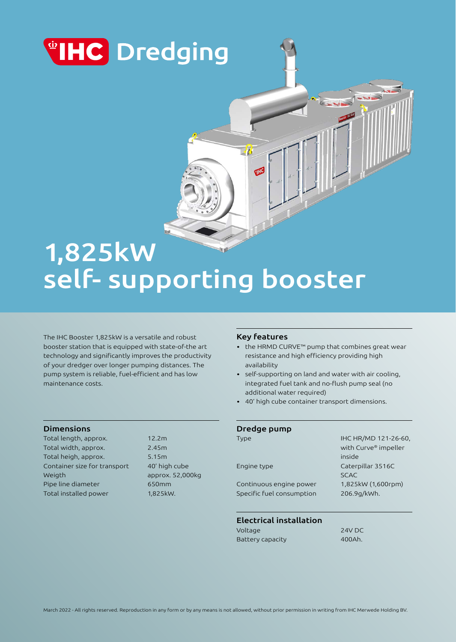

# 1,825kW self- supporting booster

The IHC Booster 1,825kW is a versatile and robust booster station that is equipped with state-of-the art technology and significantly improves the productivity of your dredger over longer pumping distances. The pump system is reliable, fuel-efficient and has low maintenance costs.

### Dimensions

Total length, approx. 12.2m Total width, approx. 2.45m Total heigh, approx. 5.15m Container size for transport 40' high cube Weigth approx. 52,000kg Pipe line diameter 650mm Total installed power 1,825kW.

### Key features

 $\mathcal{A}$ 

Œ

• the HRMD CURVE™ pump that combines great wear resistance and high efficiency providing high availability

- self-supporting on land and water with air cooling, integrated fuel tank and no-flush pump seal (no additional water required)
- 40' high cube container transport dimensions.

| Dredge pump               |                      |
|---------------------------|----------------------|
| Type                      | IHC HR/MD 121-26-60. |
|                           | with Curve® impeller |
|                           | inside               |
| Engine type               | Caterpillar 3516C    |
|                           | <b>SCAC</b>          |
| Continuous engine power   | 1,825kW (1,600rpm)   |
| Specific fuel consumption | 206.9g/kWh.          |
|                           |                      |
|                           |                      |

# Electrical installation

Voltage 24V DC Battery capacity 600Ah.